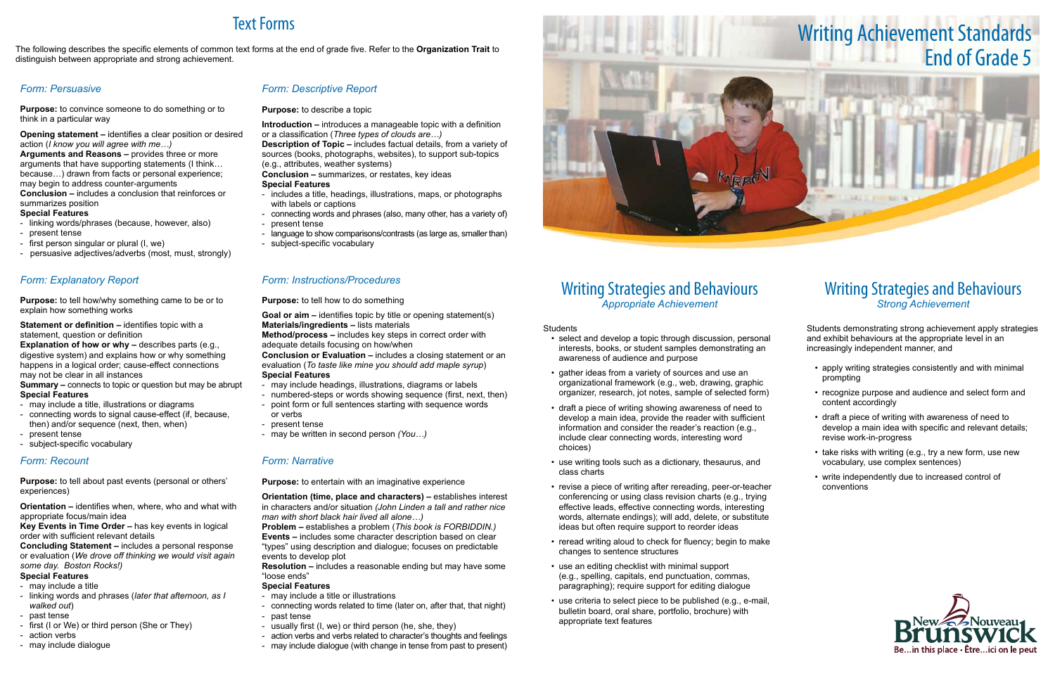# Writing Strategies and Behaviours *Appropriate Achievement*

Students

- select and develop a topic through discussion, personal interests, books, or student samples demonstrating an awareness of audience and purpose
- gather ideas from a variety of sources and use an organizational framework (e.g., web, drawing, graphic organizer, research, jot notes, sample of selected form)
- • draft a piece of writing showing awareness of need to develop a main idea, provide the reader with sufficient information and consider the reader's reaction (e.g., include clear connecting words, interesting word choices)
- use writing tools such as a dictionary, thesaurus, and class charts
- revise a piece of writing after rereading, peer-or-teacher conferencing or using class revision charts (e.g., trying effective leads, effective connecting words, interesting words, alternate endings); will add, delete, or substitute ideas but often require support to reorder ideas
- reread writing aloud to check for fluency; begin to make changes to sentence structures
- • use an editing checklist with minimal support (e.g., spelling, capitals, end punctuation, commas, paragraphing); require support for editing dialogue
- • use criteria to select piece to be published (e.g., e-mail, bulletin board, oral share, portfolio, brochure) with appropriate text features

- apply writing strategies consistently and with minimal prompting
- recognize purpose and audience and select form and content accordingly
- draft a piece of writing with awareness of need to develop a main idea with specific and relevant details; revise work-in-progress
- take risks with writing (e.g., try a new form, use new vocabulary, use complex sentences)
- write independently due to increased control of conventions



# Writing Strategies and Behaviours *Strong Achievement*

Students demonstrating strong achievement apply strategies and exhibit behaviours at the appropriate level in an increasingly independent manner, and

**Statement or definition – identifies topic with a** statement, question or definition

**Explanation of how or why – describes parts (e.g.,** digestive system) and explains how or why something happens in a logical order; cause-effect connections may not be clear in all instances

# Text Forms

The following describes the specific elements of common text forms at the end of grade five. Refer to the **Organization Trait** to distinguish between appropriate and strong achievement.

# *Form: Persuasive*

**Purpose:** to convince someone to do something or to think in a particular way

**Opening statement –** identifies a clear position or desired action (*I know you will agree with me…)*

**Arguments and Reasons –** provides three or more arguments that have supporting statements (I think… because…) drawn from facts or personal experience; may begin to address counter-arguments **Conclusion –** includes a conclusion that reinforces or summarizes position

### **Special Features**

- linking words/phrases (because, however, also)

- present tense
- first person singular or plural (I, we)
- persuasive adjectives/adverbs (most, must, strongly)

## *Form: Descriptive Report*

**Purpose:** to describe a topic

**Introduction –** introduces a manageable topic with a definition or a classification (*Three types of clouds are…)*

**Description of Topic –** includes factual details, from a variety of sources (books, photographs, websites), to support sub-topics (e.g., attributes, weather systems)

**Conclusion –** summarizes, or restates, key ideas **Special Features**

- includes a title, headings, illustrations, maps, or photographs with labels or captions
- connecting words and phrases (also, many other, has a variety of)
- present tense
- language to show comparisons/contrasts (as large as, smaller than)
- subject-specific vocabulary

# *Form: Explanatory Report*

**Purpose:** to tell how/why something came to be or to explain how something works

**Summary –** connects to topic or question but may be abrupt **Special Features**

- may include a title, illustrations or diagrams
- connecting words to signal cause-effect (if, because, then) and/or sequence (next, then, when)
- present tense
- subject-specific vocabulary

## *Form: Instructions/Procedures*

**Purpose:** to tell how to do something

**Goal or aim –** identifies topic by title or opening statement(s) **Materials/ingredients –** lists materials

**Method/process –** includes key steps in correct order with adequate details focusing on how/when

**Conclusion or Evaluation –** includes a closing statement or an evaluation (*To taste like mine you should add maple syrup*) **Special Features**

- may include headings, illustrations, diagrams or labels
- numbered-steps or words showing sequence (first, next, then)
- point form or full sentences starting with sequence words or verbs
- present tense
- may be written in second person *(You…)*

# *Form: Recount*

**Purpose:** to tell about past events (personal or others' experiences)

**Orientation –** identifies when, where, who and what with appropriate focus/main idea

**Key Events in Time Order –** has key events in logical order with sufficient relevant details

**Concluding Statement –** includes a personal response or evaluation (*We drove off thinking we would visit again some day. Boston Rocks!)*

### **Special Features**

- may include a title
- linking words and phrases (*later that afternoon, as I walked out*)
- past tense
- first (I or We) or third person (She or They)
- action verbs
- may include dialogue

# *Form: Narrative*

**Purpose:** to entertain with an imaginative experience

**Orientation (time, place and characters) –** establishes interest in characters and/or situation *(John Linden a tall and rather nice man with short black hair lived all alone…)*

**Problem –** establishes a problem (*This book is FORBIDDIN.)* **Events –** includes some character description based on clear "types" using description and dialogue; focuses on predictable events to develop plot

**Resolution –** includes a reasonable ending but may have some "loose ends"

#### **Special Features**

- may include a title or illustrations
- connecting words related to time (later on, after that, that night) - past tense
- usually first (I, we) or third person (he, she, they)
- action verbs and verbs related to character's thoughts and feelings
- may include dialogue (with change in tense from past to present)